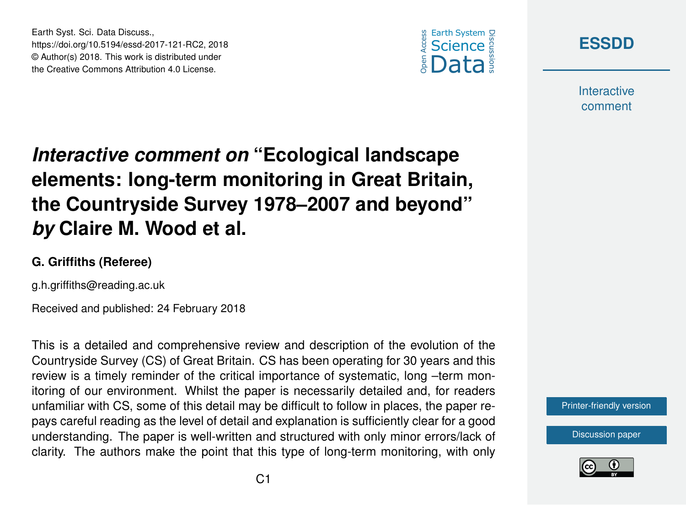



**Interactive** comment

## *Interactive comment on* **"Ecological landscape elements: long-term monitoring in Great Britain, the Countryside Survey 1978–2007 and beyond"** *by* **Claire M. Wood et al.**

## **G. Griffiths (Referee)**

Earth Syst. Sci. Data Discuss.,

https://doi.org/10.5194/essd-2017-121-RC2, 2018 © Author(s) 2018. This work is distributed under the Creative Commons Attribution 4.0 License.

g.h.griffiths@reading.ac.uk

Received and published: 24 February 2018

This is a detailed and comprehensive review and description of the evolution of the Countryside Survey (CS) of Great Britain. CS has been operating for 30 years and this review is a timely reminder of the critical importance of systematic, long -term monitoring of our environment. Whilst the paper is necessarily detailed and, for readers unfamiliar with CS, some of this detail may be difficult to follow in places, the paper repays careful reading as the level of detail and explanation is sufficiently clear for a good understanding. The paper is well-written and structured with only minor errors/lack of clarity. The authors make the point that this type of long-term monitoring, with only

[Printer-friendly version](https://www.earth-syst-sci-data-discuss.net/essd-2017-121/essd-2017-121-RC2-print.pdf)

[Discussion paper](https://www.earth-syst-sci-data-discuss.net/essd-2017-121)